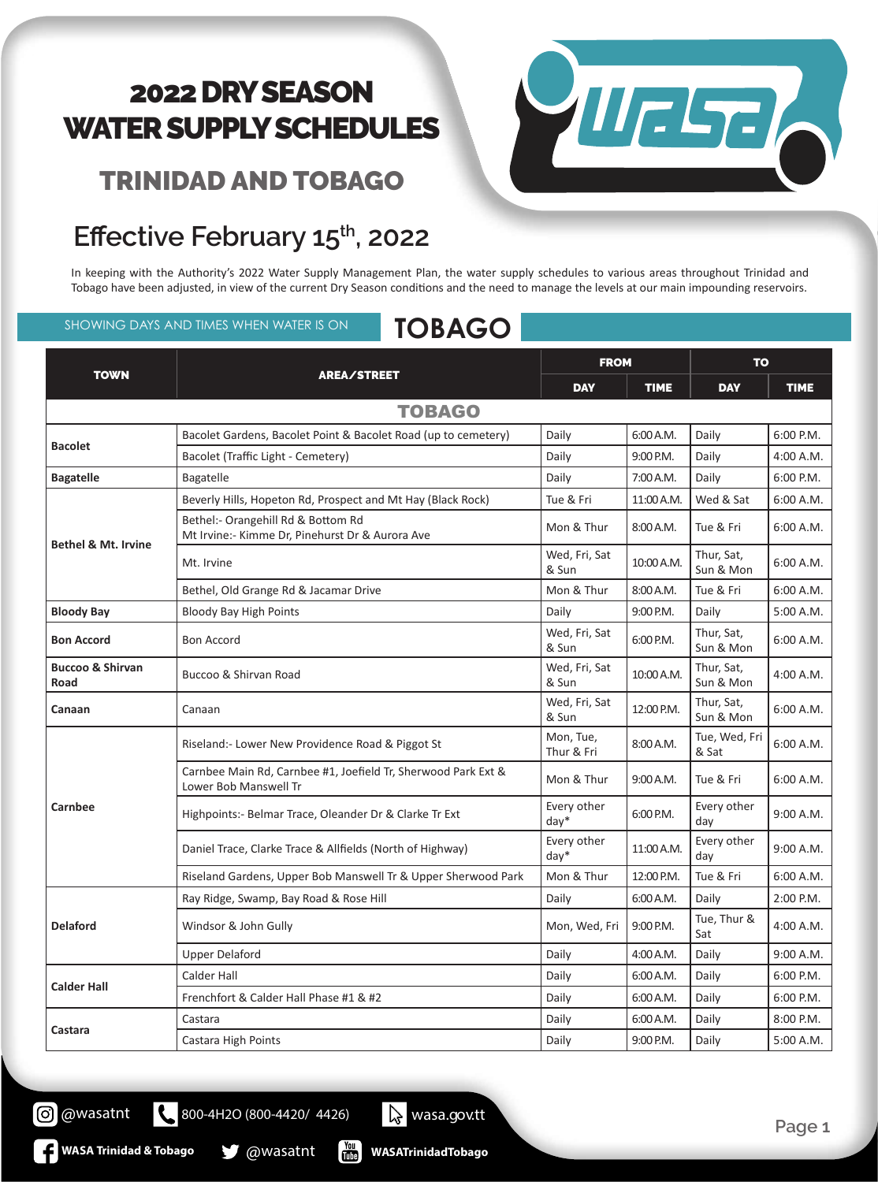#### TRINIDAD AND TOBAGO



## Effective February 15<sup>th</sup>, 2022

In keeping with the Authority's 2022 Water Supply Management Plan, the water supply schedules to various areas throughout Trinidad and Tobago have been adjusted, in view of the current Dry Season conditions and the need to manage the levels at our main impounding reservoirs.

#### SHOWING DAYS AND TIMES WHEN WATER IS ON **TOBAGO**

| <b>TOWN</b>                         | AREA/STREET                                                                            | <b>FROM</b>             |             | <b>TO</b>               |             |  |  |  |  |
|-------------------------------------|----------------------------------------------------------------------------------------|-------------------------|-------------|-------------------------|-------------|--|--|--|--|
|                                     |                                                                                        | <b>DAY</b>              | <b>TIME</b> | <b>DAY</b>              | <b>TIME</b> |  |  |  |  |
| <b>TOBAGO</b>                       |                                                                                        |                         |             |                         |             |  |  |  |  |
| <b>Bacolet</b>                      | Bacolet Gardens, Bacolet Point & Bacolet Road (up to cemetery)                         | Daily                   | 6:00 A.M.   | Daily                   | 6:00 P.M.   |  |  |  |  |
|                                     | Bacolet (Traffic Light - Cemetery)                                                     | Daily                   | 9:00 P.M.   | Daily                   | 4:00 A.M.   |  |  |  |  |
| <b>Bagatelle</b>                    | Bagatelle                                                                              | Daily                   | 7:00 A.M.   | Daily                   | 6:00 P.M.   |  |  |  |  |
| <b>Bethel &amp; Mt. Irvine</b>      | Beverly Hills, Hopeton Rd, Prospect and Mt Hay (Black Rock)                            | Tue & Fri               | 11:00 A.M.  | Wed & Sat               | 6:00 A.M.   |  |  |  |  |
|                                     | Bethel:- Orangehill Rd & Bottom Rd<br>Mt Irvine:- Kimme Dr, Pinehurst Dr & Aurora Ave  | Mon & Thur              | 8:00 A.M.   | Tue & Fri               | 6:00 A.M.   |  |  |  |  |
|                                     | Mt. Irvine                                                                             | Wed, Fri, Sat<br>& Sun  | 10:00 A.M.  | Thur, Sat,<br>Sun & Mon | 6:00 A.M.   |  |  |  |  |
|                                     | Bethel, Old Grange Rd & Jacamar Drive                                                  | Mon & Thur              | 8:00 A.M.   | Tue & Fri               | 6:00 A.M.   |  |  |  |  |
| <b>Bloody Bay</b>                   | <b>Bloody Bay High Points</b>                                                          | Daily                   | 9:00 P.M.   | Daily                   | 5:00 A.M.   |  |  |  |  |
| <b>Bon Accord</b>                   | <b>Bon Accord</b>                                                                      | Wed, Fri, Sat<br>& Sun  | 6:00 P.M.   | Thur, Sat,<br>Sun & Mon | 6:00 A.M.   |  |  |  |  |
| <b>Buccoo &amp; Shirvan</b><br>Road | Buccoo & Shirvan Road                                                                  | Wed, Fri, Sat<br>& Sun  | 10:00 A.M.  | Thur, Sat,<br>Sun & Mon | 4:00 A.M.   |  |  |  |  |
| Canaan                              | Canaan                                                                                 | Wed, Fri, Sat<br>& Sun  | 12:00 P.M.  | Thur, Sat,<br>Sun & Mon | 6:00 A.M.   |  |  |  |  |
| Carnbee                             | Riseland:- Lower New Providence Road & Piggot St                                       | Mon, Tue,<br>Thur & Fri | 8:00 A.M.   | Tue, Wed, Fri<br>& Sat  | 6:00 A.M.   |  |  |  |  |
|                                     | Carnbee Main Rd, Carnbee #1, Joefield Tr, Sherwood Park Ext &<br>Lower Bob Manswell Tr | Mon & Thur              | 9:00 A.M.   | Tue & Fri               | 6:00 A.M.   |  |  |  |  |
|                                     | Highpoints:- Belmar Trace, Oleander Dr & Clarke Tr Ext                                 | Every other<br>$day*$   | 6:00 P.M.   | Every other<br>day      | 9:00 A.M.   |  |  |  |  |
|                                     | Daniel Trace, Clarke Trace & Allfields (North of Highway)                              | Every other<br>$day*$   | 11:00 A.M.  | Every other<br>day      | 9:00 A.M.   |  |  |  |  |
|                                     | Riseland Gardens, Upper Bob Manswell Tr & Upper Sherwood Park                          | Mon & Thur              | 12:00 P.M.  | Tue & Fri               | 6:00 A.M.   |  |  |  |  |
| <b>Delaford</b>                     | Ray Ridge, Swamp, Bay Road & Rose Hill                                                 | Daily                   | 6:00 A.M.   | Daily                   | 2:00 P.M.   |  |  |  |  |
|                                     | Windsor & John Gully                                                                   | Mon, Wed, Fri           | 9:00 P.M.   | Tue, Thur &<br>Sat      | 4:00 A.M.   |  |  |  |  |
|                                     | <b>Upper Delaford</b>                                                                  | Daily                   | 4:00 A.M.   | Daily                   | 9:00 A.M.   |  |  |  |  |
| <b>Calder Hall</b>                  | Calder Hall                                                                            | Daily                   | 6:00 A.M.   | Daily                   | 6:00 P.M.   |  |  |  |  |
|                                     | Frenchfort & Calder Hall Phase #1 & #2                                                 | Daily                   | 6:00 A.M.   | Daily                   | 6:00 P.M.   |  |  |  |  |
| Castara                             | Castara                                                                                | Daily                   | 6:00 A.M.   | Daily                   | 8:00 P.M.   |  |  |  |  |
|                                     | Castara High Points                                                                    | Daily                   | 9:00 P.M.   | Daily                   | 5:00 A.M.   |  |  |  |  |

**WASATrinidadTobago**

800-4H2O (800-4420/ 4426) wasa.gov.tt

 $\frac{100}{1000}$ 

**WASA Trinidad & Tobago & @wasatnt** 

 $\mathbf{C}$ 

@wasatnt

(၀)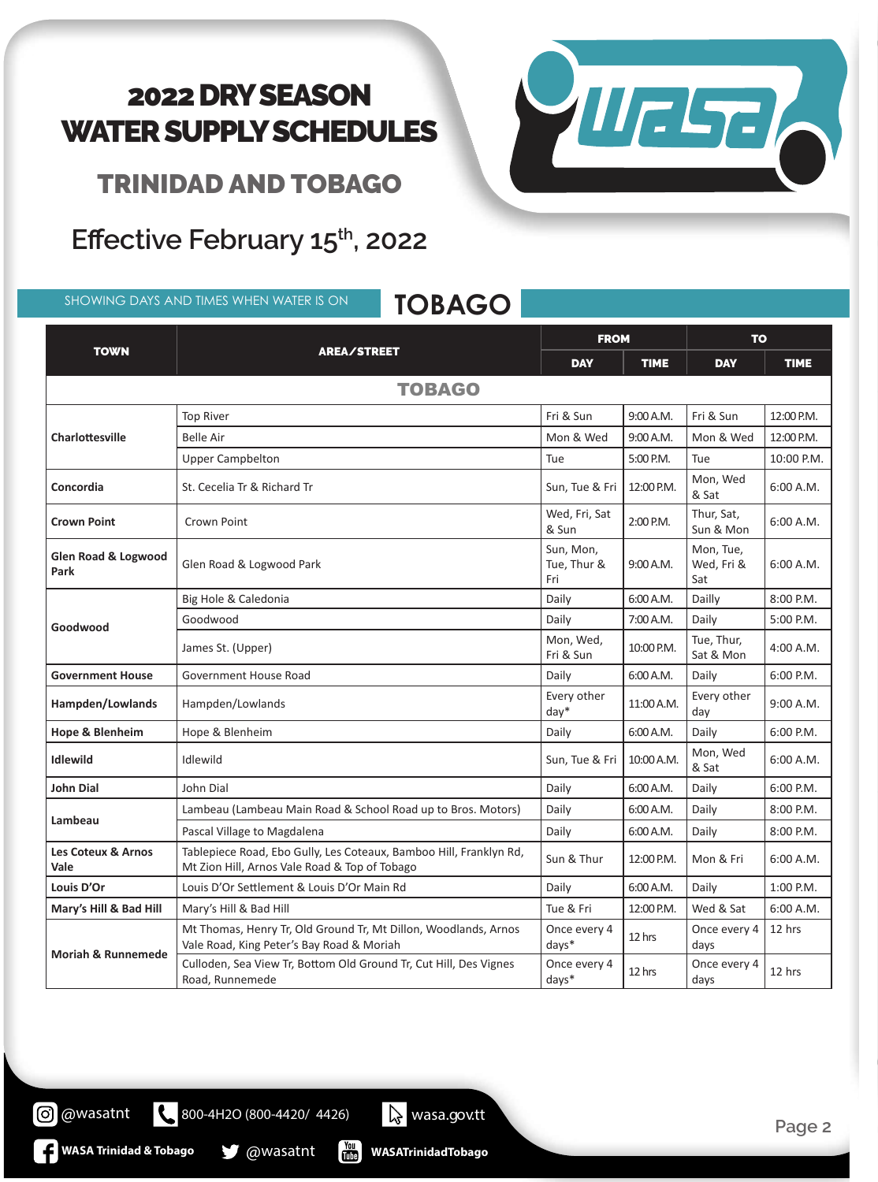VIIELTE

TRINIDAD AND TOBAGO

## Effective February 15<sup>th</sup>, 2022

SHOWING DAYS AND TIMES WHEN WATER IS ON **TOBAGO**

| <b>TOWN</b>                            | <b>AREA/STREET</b>                                                                                                  | <b>FROM</b>                     |             | <b>TO</b>                      |             |  |  |
|----------------------------------------|---------------------------------------------------------------------------------------------------------------------|---------------------------------|-------------|--------------------------------|-------------|--|--|
|                                        |                                                                                                                     | <b>DAY</b>                      | <b>TIME</b> | <b>DAY</b>                     | <b>TIME</b> |  |  |
| <b>TOBAGO</b>                          |                                                                                                                     |                                 |             |                                |             |  |  |
| Charlottesville                        | <b>Top River</b>                                                                                                    | Fri & Sun                       | 9:00 A.M.   | Fri & Sun                      | 12:00 P.M.  |  |  |
|                                        | <b>Belle Air</b>                                                                                                    | Mon & Wed                       | 9:00 A.M.   | Mon & Wed                      | 12:00 P.M.  |  |  |
|                                        | <b>Upper Campbelton</b>                                                                                             | Tue                             | 5:00 P.M.   | Tue                            | 10:00 P.M.  |  |  |
| Concordia                              | St. Cecelia Tr & Richard Tr                                                                                         | Sun, Tue & Fri                  | 12:00 P.M.  | Mon, Wed<br>& Sat              | 6:00 A.M.   |  |  |
| <b>Crown Point</b>                     | Crown Point                                                                                                         | Wed, Fri, Sat<br>& Sun          | 2:00 P.M.   | Thur, Sat,<br>Sun & Mon        | 6:00 A.M.   |  |  |
| <b>Glen Road &amp; Logwood</b><br>Park | Glen Road & Logwood Park                                                                                            | Sun, Mon,<br>Tue, Thur &<br>Fri | 9:00 A.M.   | Mon, Tue,<br>Wed, Fri &<br>Sat | 6:00 A.M.   |  |  |
| Goodwood                               | Big Hole & Caledonia                                                                                                | Daily                           | 6:00 A.M.   | Dailly                         | 8:00 P.M.   |  |  |
|                                        | Goodwood                                                                                                            | Daily                           | 7:00 A.M.   | Daily                          | 5:00 P.M.   |  |  |
|                                        | James St. (Upper)                                                                                                   | Mon, Wed,<br>Fri & Sun          | 10:00 P.M.  | Tue, Thur,<br>Sat & Mon        | 4:00 A.M.   |  |  |
| <b>Government House</b>                | Government House Road                                                                                               | Daily                           | 6:00 A.M.   | Daily                          | 6:00 P.M.   |  |  |
| Hampden/Lowlands                       | Hampden/Lowlands                                                                                                    | Every other<br>$day*$           | 11:00 A.M.  | Every other<br>day             | 9:00 A.M.   |  |  |
| <b>Hope &amp; Blenheim</b>             | Hope & Blenheim                                                                                                     | Daily                           | 6:00 A.M.   | Daily                          | 6:00 P.M.   |  |  |
| <b>Idlewild</b>                        | Idlewild                                                                                                            | Sun, Tue & Fri                  | 10:00 A.M.  | Mon, Wed<br>& Sat              | 6:00 A.M.   |  |  |
| <b>John Dial</b>                       | John Dial                                                                                                           | Daily                           | 6:00 A.M.   | Daily                          | 6:00 P.M.   |  |  |
|                                        | Lambeau (Lambeau Main Road & School Road up to Bros. Motors)                                                        | Daily                           | 6:00 A.M.   | Daily                          | 8:00 P.M.   |  |  |
| Lambeau                                | Pascal Village to Magdalena                                                                                         | Daily                           | 6:00 A.M.   | Daily                          | 8:00 P.M.   |  |  |
| Les Coteux & Arnos<br>Vale             | Tablepiece Road, Ebo Gully, Les Coteaux, Bamboo Hill, Franklyn Rd,<br>Mt Zion Hill, Arnos Vale Road & Top of Tobago | Sun & Thur                      | 12:00 P.M.  | Mon & Fri                      | 6:00 A.M.   |  |  |
| Louis D'Or                             | Louis D'Or Settlement & Louis D'Or Main Rd                                                                          | Daily                           | 6:00 A.M.   | Daily                          | 1:00 P.M.   |  |  |
| Mary's Hill & Bad Hill                 | Mary's Hill & Bad Hill                                                                                              | Tue & Fri                       | 12:00 P.M.  | Wed & Sat                      | 6:00 A.M.   |  |  |
| <b>Moriah &amp; Runnemede</b>          | Mt Thomas, Henry Tr, Old Ground Tr, Mt Dillon, Woodlands, Arnos<br>Vale Road, King Peter's Bay Road & Moriah        | Once every 4<br>days*           | 12 hrs      | Once every 4<br>days           | 12 hrs      |  |  |
|                                        | Culloden, Sea View Tr, Bottom Old Ground Tr, Cut Hill, Des Vignes<br>Road, Runnemede                                | Once every 4<br>days*           | 12 hrs      | Once every 4<br>days           | 12 hrs      |  |  |

**WASA Trinidad & Tobago @wasatnt** 

800-4H2O (800-4420/ 4426) wasa.gov.tt

**WASATrinidadTobago**

 $\frac{Y_{\text{ou}}}{\prod_{i=1}^{n} Y_{\text{ou}}^i}$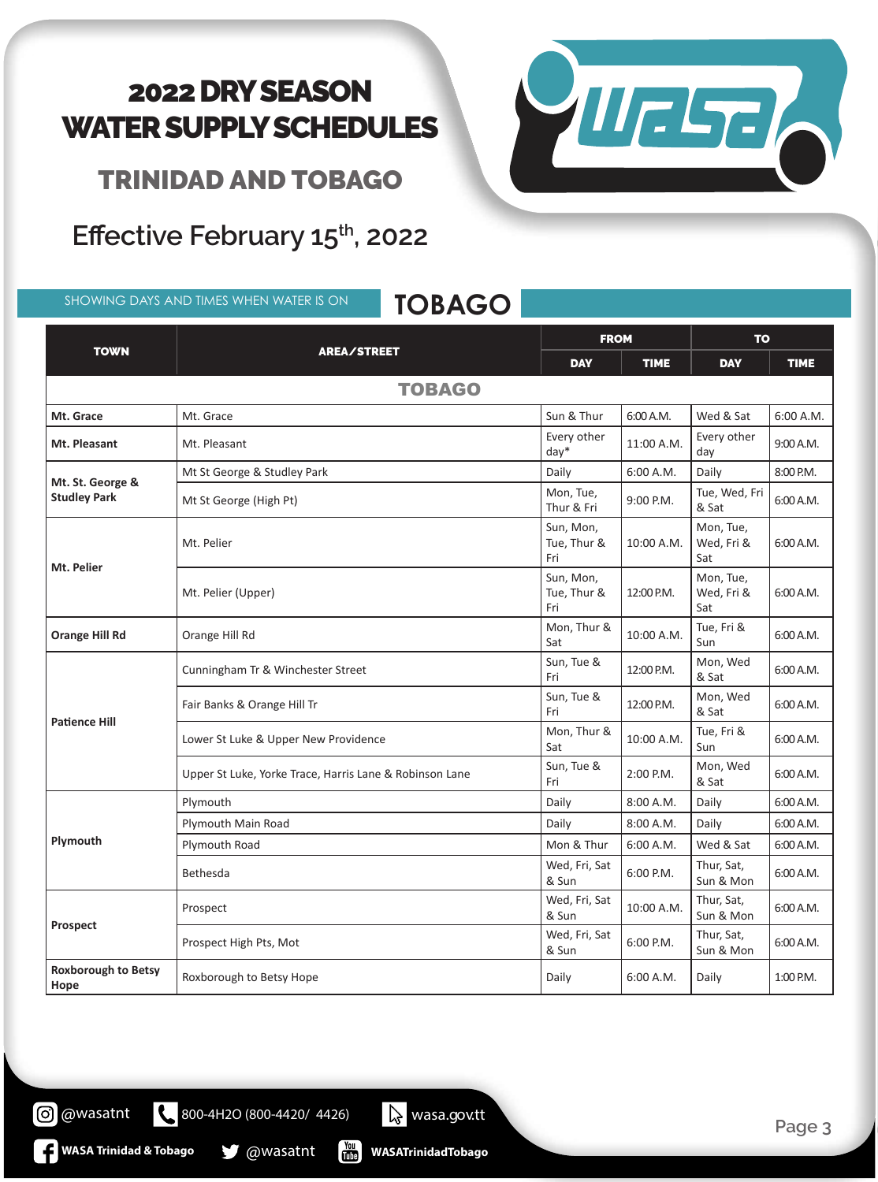TRINIDAD AND TOBAGO

**Effective February 15th, 2022**

SHOWING DAYS AND TIMES WHEN WATER IS ON **TOBAGO**

TOWN REALSTREET FROM TO DAY | TIME | DAY | TIME TOBAGO **Mt. Grace** Mt. Grace Music and Mt. Grace Sun & Thur Sun & Thur Sun & Thur Sun & Thur Sun & Sat 6:00 A.M. **Mt. Pleasant** Mt. Pleasant Mt. Pleasant Every other Every other  $\begin{bmatrix} 11:00 \text{ A.M.} \\ \text{day} \end{bmatrix}$  Every other 9:00 A.M. **Mt. St. George & Studley Park** Mt St George & Studley Park Daily Books A.M. Compared to Los A.M. Daily Books and Books and Books A.M. Baily B Mt St George (High Pt) Mon, Tue, Mon, Tue, Mon, Tue, Mon, Tue, Mon, Tue, Mon, Tue, Mon, Tue, Mon, Tue, Mon, Tue,  $\frac{1}{2}$ 9:00 P.M.  $\begin{bmatrix} \text{True, Wed, Fri} \\ \text{& Sat} \end{bmatrix}$ 6:00 A.M. **Mt. Pelier** Mt. Pelier Sun, Mon, Tue, Thur & Fri 10:00 A.M. Mon, Tue, Wed, Fri & Sat 6:00 A.M. Mt. Pelier (Upper) Sun, Mon, Tue, Thur & Fri  $12:00 \text{ PM}$ Mon, Tue, Wed, Fri & Sat 6:00 A.M. **Orange Hill Rd Orange Hill Rd Orange Hill Rd** Mon, Thur & 10:00 A.M.  $\begin{bmatrix} \text{True, Fri } & & \\ \text{Sun} & & \end{bmatrix}$ 6:00 A.M. **Patience Hill** Cunningham Tr & Winchester Street Sun, Tue & Sun, Tue & 12:00 P.M.  $\begin{array}{c} \begin{array}{c} \text{Mon, Wed} \\ \text{& Set} \end{array} \end{array}$ 6:00 A.M. Fair Banks & Orange Hill Tr<br>Fri Sun, Tue &  $\begin{bmatrix} 12:00 \text{ P.M.} \\ \& \text{Sat} \end{bmatrix}$  Mon, Wed 6:00 A.M. Lower St Luke & Upper New Providence Mon, Thur & Mon, Thur & 10:00 A.M.  $\begin{bmatrix} \text{True, Fri } & \text{S} \\ \text{Sun} & \text{S} \end{bmatrix}$ 6:00 A.M. Upper St Luke, Yorke Trace, Harris Lane & Robinson Lane  $\begin{bmatrix} \text{Sun, Tue & \text{Sun, Tue & \text{Sun, Tue & \text{Sun, Tue & \text{Sun, 20}} \\ \text{Fri} & \text{Fri} & \text{Fri} & \text{Fri} & \text{Fri} & \text{Fri} & \text{Fri} & \text{Fri} & \text{Fri} & \text{Fri} & \text{Fri} & \text{Fri} &$ 2:00 P.M.  $\begin{array}{c} \begin{array}{c} \text{Mon, Wed} \\ \text{& Set} \end{array} \end{array}$ 6:00 A.M. **Plymouth** Plymouth **Daily 8:00 A.M. Daily 8:00 A.M. Daily** 8:00 A.M. Daily 6:00 A.M. Plymouth Main Road **Daily** 8:00 A.M. Daily 6:00 A.M. Plymouth Road **Mon & Thur 6:00 A.M.** Wed & Sat 6:00 A.M. Bethesda Wed, Fri, Sat Wed, Fri, Sat  $\begin{bmatrix} 6:00 \text{ P.M.} \\ 6:00 \text{ P.M.} \end{bmatrix}$  Thur, Sat, Sun & Mon 6:00 A.M. **Prospect** Prospect Wed, Fri, Sat Wed, Fri, Sat  $\begin{bmatrix} 10:00 \text{ A.M.} \\ \text{Sun & Mo} \end{bmatrix}$  Thur, Sat, Sun & Mon  $\begin{bmatrix} 6:00 \text{ A.M.} \\ 6:00 \text{ A.M.} \end{bmatrix}$ Prospect High Pts, Mot  $\begin{bmatrix} x \\ s \end{bmatrix}$   $\begin{bmatrix} x \\ s \end{bmatrix}$   $\begin{bmatrix} x \\ s \end{bmatrix}$   $\begin{bmatrix} x \\ s \end{bmatrix}$   $\begin{bmatrix} x \\ s \end{bmatrix}$ Wed, Fri, Sat  $\Big|_{6:00}$  P.M. Thur, Sat, Sun & Mon  $\begin{bmatrix} 6:00 \text{ A.M.} \\ 6:00 \text{ A.M.} \end{bmatrix}$ **Roxborough to Betsy** 



 $\frac{v_{\text{out}}}{v_{\text{min}}}$ **WASATrinidadTobago**

800-4H2O (800-4420/ 4426) wasa.gov.tt

**Hope Roxborough to Betsy Hope Burgest Control Cally and Baily COD** A.M. Daily **1:00 P.M. Hope A.M. Example 2:00 P.M. Hope Example 2:00 P.M. Hope Example 2:00 P.M. Hope Example 2:00 P.M. Hope**

**E** WASA Trinidad & Tobago **& @Wasatnt** 

**O** @wasatnt